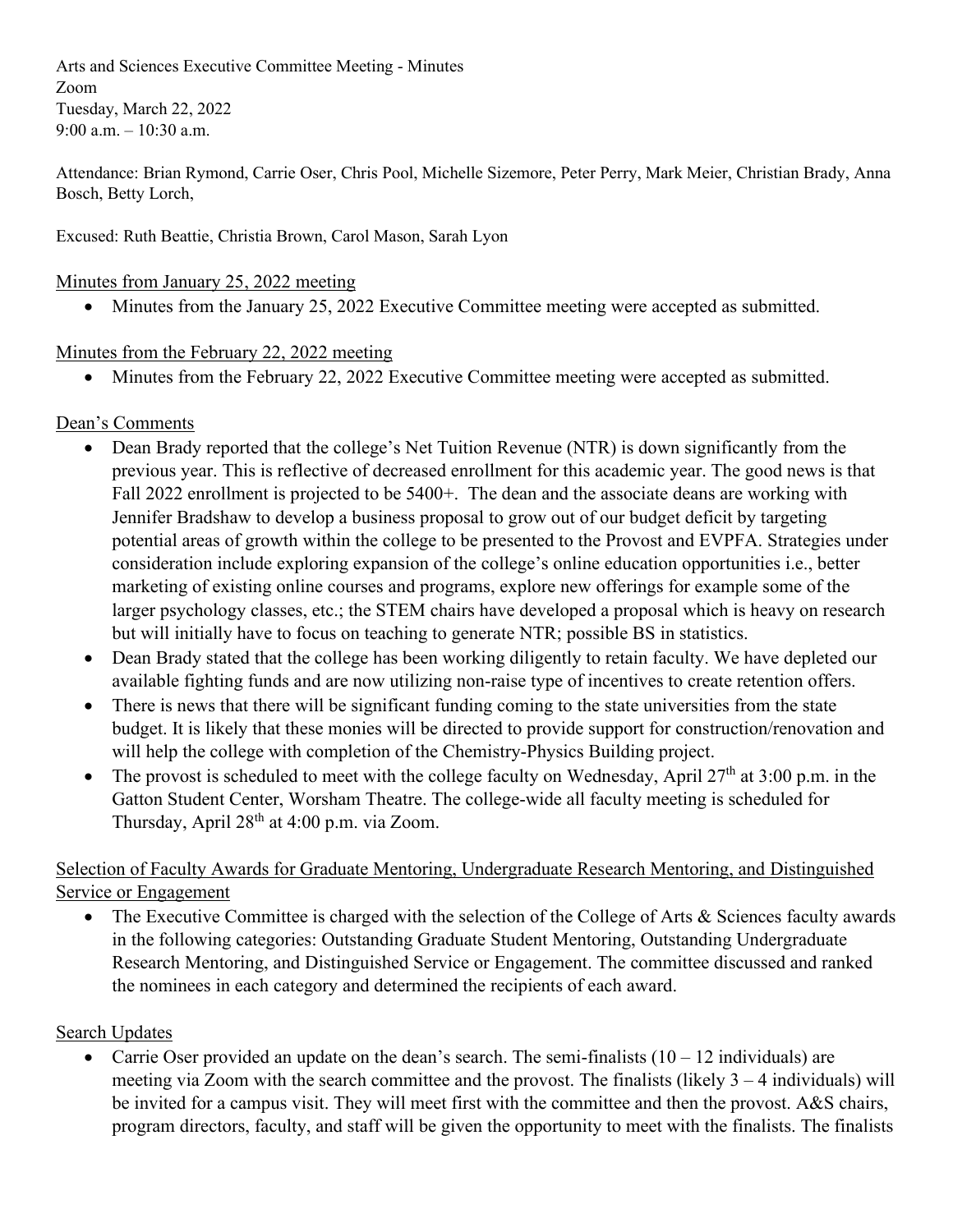Arts and Sciences Executive Committee Meeting - Minutes Zoom Tuesday, March 22, 2022 9:00 a.m. – 10:30 a.m.

Attendance: Brian Rymond, Carrie Oser, Chris Pool, Michelle Sizemore, Peter Perry, Mark Meier, Christian Brady, Anna Bosch, Betty Lorch,

Excused: Ruth Beattie, Christia Brown, Carol Mason, Sarah Lyon

## Minutes from January 25, 2022 meeting

• Minutes from the January 25, 2022 Executive Committee meeting were accepted as submitted.

## Minutes from the February 22, 2022 meeting

• Minutes from the February 22, 2022 Executive Committee meeting were accepted as submitted.

## Dean's Comments

- Dean Brady reported that the college's Net Tuition Revenue (NTR) is down significantly from the previous year. This is reflective of decreased enrollment for this academic year. The good news is that Fall 2022 enrollment is projected to be 5400+. The dean and the associate deans are working with Jennifer Bradshaw to develop a business proposal to grow out of our budget deficit by targeting potential areas of growth within the college to be presented to the Provost and EVPFA. Strategies under consideration include exploring expansion of the college's online education opportunities i.e., better marketing of existing online courses and programs, explore new offerings for example some of the larger psychology classes, etc.; the STEM chairs have developed a proposal which is heavy on research but will initially have to focus on teaching to generate NTR; possible BS in statistics.
- Dean Brady stated that the college has been working diligently to retain faculty. We have depleted our available fighting funds and are now utilizing non-raise type of incentives to create retention offers.
- There is news that there will be significant funding coming to the state universities from the state budget. It is likely that these monies will be directed to provide support for construction/renovation and will help the college with completion of the Chemistry-Physics Building project.
- The provost is scheduled to meet with the college faculty on Wednesday, April  $27<sup>th</sup>$  at 3:00 p.m. in the Gatton Student Center, Worsham Theatre. The college-wide all faculty meeting is scheduled for Thursday, April 28th at 4:00 p.m. via Zoom.

Selection of Faculty Awards for Graduate Mentoring, Undergraduate Research Mentoring, and Distinguished Service or Engagement

• The Executive Committee is charged with the selection of the College of Arts & Sciences faculty awards in the following categories: Outstanding Graduate Student Mentoring, Outstanding Undergraduate Research Mentoring, and Distinguished Service or Engagement. The committee discussed and ranked the nominees in each category and determined the recipients of each award.

## Search Updates

• Carrie Oser provided an update on the dean's search. The semi-finalists  $(10 - 12 \text{ individuals})$  are meeting via Zoom with the search committee and the provost. The finalists (likely  $3 - 4$  individuals) will be invited for a campus visit. They will meet first with the committee and then the provost. A&S chairs, program directors, faculty, and staff will be given the opportunity to meet with the finalists. The finalists